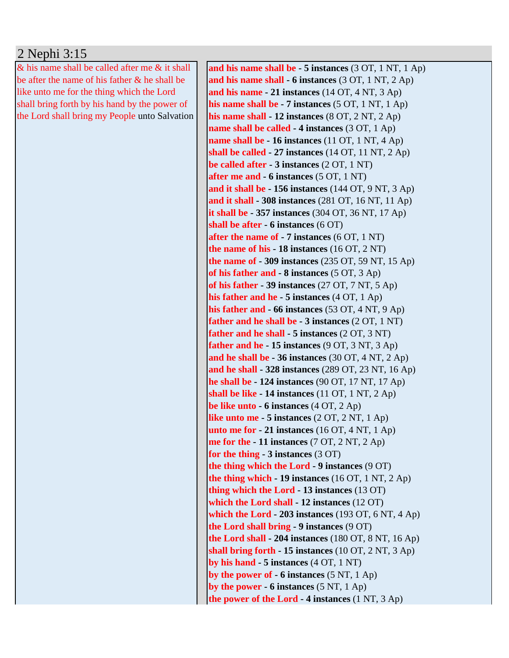| 2 Nephi 3:15                                     |                                                                                                              |
|--------------------------------------------------|--------------------------------------------------------------------------------------------------------------|
| & his name shall be called after me & it shall   | and his name shall be $-5$ instances (3 OT, 1 NT, 1 Ap)                                                      |
| be after the name of his father $\&$ he shall be | and his name shall - 6 instances (3 OT, 1 NT, 2 Ap)                                                          |
| like unto me for the thing which the Lord        | and his name - 21 instances $(14 OT, 4 NT, 3 Ap)$                                                            |
| shall bring forth by his hand by the power of    | his name shall be $-7$ instances $(5 OT, 1 NT, 1 Ap)$                                                        |
| the Lord shall bring my People unto Salvation    | his name shall - 12 instances $(8 OT, 2 NT, 2 Ap)$                                                           |
|                                                  | name shall be called - 4 instances (3 OT, 1 Ap)                                                              |
|                                                  | name shall be - 16 instances (11 OT, 1 NT, 4 Ap)                                                             |
|                                                  | shall be called - 27 instances $(14 OT, 11 NT, 2 Ap)$                                                        |
|                                                  | be called after $-3$ instances $(2 OT, 1 NT)$                                                                |
|                                                  | after me and - 6 instances (5 OT, 1 NT)                                                                      |
|                                                  | and it shall be - 156 instances $(144 \text{ OT}, 9 \text{ NT}, 3 \text{ Ap})$                               |
|                                                  | and it shall $-308$ instances (281 OT, 16 NT, 11 Ap)                                                         |
|                                                  | it shall be $-357$ instances (304 OT, 36 NT, 17 Ap)                                                          |
|                                                  | shall be after $-6$ instances $(6 \text{ OT})$                                                               |
|                                                  | after the name of - 7 instances (6 OT, 1 NT)                                                                 |
|                                                  | the name of his $-18$ instances (16 OT, 2 NT)                                                                |
|                                                  | <b>the name of - 309 instances</b> $(235 \text{ OT}, 59 \text{ NT}, 15 \text{ Ap})$                          |
|                                                  | of his father and - 8 instances (5 OT, 3 Ap)                                                                 |
|                                                  | of his father - 39 instances (27 OT, 7 NT, 5 Ap)                                                             |
|                                                  | his father and he $-5$ instances $(4 OT, 1 Ap)$                                                              |
|                                                  | his father and $-66$ instances (53 OT, 4 NT, 9 Ap)                                                           |
|                                                  | father and he shall be $-3$ instances $(2 OT, 1 NT)$                                                         |
|                                                  | father and he shall - 5 instances (2 OT, 3 NT)                                                               |
|                                                  | <b>father and he - 15 instances</b> $(9 \text{ OT}, 3 \text{ NT}, 3 \text{ Ap})$                             |
|                                                  | and he shall be - 36 instances $(30 OT, 4 NT, 2 Ap)$<br>and he shall $-328$ instances (289 OT, 23 NT, 16 Ap) |
|                                                  | he shall be $-124$ instances (90 OT, 17 NT, 17 Ap)                                                           |
|                                                  | shall be like $-14$ instances (11 OT, 1 NT, 2 Ap)                                                            |
|                                                  | be like unto $-6$ instances $(4 OT, 2 Ap)$                                                                   |
|                                                  | like unto me $-5$ instances $(2 OT, 2 NT, 1 Ap)$                                                             |
|                                                  | <b>unto me for - 21 instances</b> $(16 OT, 4 NT, 1 Ap)$                                                      |
|                                                  | me for the $-11$ instances (7 OT, 2 NT, 2 Ap)                                                                |
|                                                  | for the thing $-3$ instances $(3 \text{ OT})$                                                                |
|                                                  | the thing which the Lord $-9$ instances $(9 \text{ OT})$                                                     |
|                                                  | the thing which $-19$ instances (16 OT, 1 NT, 2 Ap)                                                          |
|                                                  | thing which the Lord - 13 instances (13 OT)                                                                  |
|                                                  | which the Lord shall $-12$ instances (12 OT)                                                                 |
|                                                  | which the Lord - 203 instances (193 OT, $6$ NT, $4$ Ap)                                                      |
|                                                  | the Lord shall bring - 9 instances (9 OT)                                                                    |
|                                                  | the Lord shall - 204 instances (180 OT, 8 NT, 16 Ap)                                                         |
|                                                  | shall bring forth $-15$ instances (10 OT, 2 NT, 3 Ap)                                                        |
|                                                  | by his hand $-5$ instances $(4 OT, 1 NT)$                                                                    |
|                                                  | by the power of $-6$ instances $(5 \text{ NT}, 1 \text{ Ap})$                                                |
|                                                  | by the power - $6$ instances $(5 \text{ NT}, 1 \text{ Ap})$                                                  |
|                                                  | the power of the Lord - 4 instances $(1 NT, 3 Ap)$                                                           |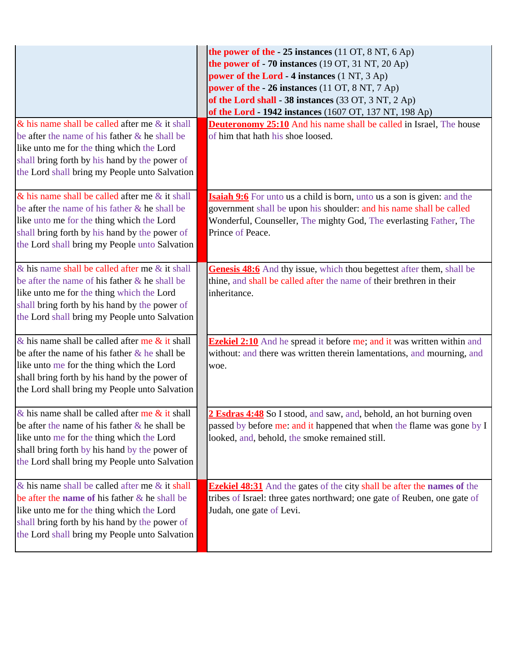| $\&$ his name shall be called after me $\&$ it shall<br>be after the name of his father & he shall be<br>like unto me for the thing which the Lord                                                                                                       | the power of the $-25$ instances (11 OT, 8 NT, 6 Ap)<br>the power of $-70$ instances (19 OT, 31 NT, 20 Ap)<br>power of the Lord - 4 instances (1 NT, 3 Ap)<br>power of the - 26 instances (11 OT, 8 NT, 7 Ap)<br>of the Lord shall - 38 instances (33 OT, 3 NT, 2 Ap)<br>of the Lord - 1942 instances (1607 OT, 137 NT, 198 Ap)<br><b>Deuteronomy 25:10</b> And his name shall be called in Israel, The house<br>of him that hath his shoe loosed. |
|----------------------------------------------------------------------------------------------------------------------------------------------------------------------------------------------------------------------------------------------------------|----------------------------------------------------------------------------------------------------------------------------------------------------------------------------------------------------------------------------------------------------------------------------------------------------------------------------------------------------------------------------------------------------------------------------------------------------|
| shall bring forth by his hand by the power of<br>the Lord shall bring my People unto Salvation                                                                                                                                                           |                                                                                                                                                                                                                                                                                                                                                                                                                                                    |
| $\&$ his name shall be called after me $\&$ it shall<br>be after the name of his father & he shall be<br>like unto me for the thing which the Lord<br>shall bring forth by his hand by the power of<br>the Lord shall bring my People unto Salvation     | <b>Isaiah 9:6</b> For unto us a child is born, unto us a son is given: and the<br>government shall be upon his shoulder: and his name shall be called<br>Wonderful, Counseller, The mighty God, The everlasting Father, The<br>Prince of Peace.                                                                                                                                                                                                    |
| $\&$ his name shall be called after me $\&$ it shall<br>be after the name of his father & he shall be<br>like unto me for the thing which the Lord<br>shall bring forth by his hand by the power of<br>the Lord shall bring my People unto Salvation     | Genesis 48:6 And thy issue, which thou begettest after them, shall be<br>thine, and shall be called after the name of their brethren in their<br>inheritance.                                                                                                                                                                                                                                                                                      |
| $\&$ his name shall be called after me $\&$ it shall<br>be after the name of his father $\&$ he shall be<br>like unto me for the thing which the Lord<br>shall bring forth by his hand by the power of<br>the Lord shall bring my People unto Salvation  | <b>Ezekiel 2:10</b> And he spread it before me; and it was written within and<br>without: and there was written therein lamentations, and mourning, and<br>woe.                                                                                                                                                                                                                                                                                    |
| & his name shall be called after me $\&$ it shall<br>be after the name of his father $\&$ he shall be<br>like unto me for the thing which the Lord<br>shall bring forth by his hand by the power of<br>the Lord shall bring my People unto Salvation     | 2 Esdras 4:48 So I stood, and saw, and, behold, an hot burning oven<br>passed by before me: and it happened that when the flame was gone by I<br>looked, and, behold, the smoke remained still.                                                                                                                                                                                                                                                    |
| & his name shall be called after me & it shall<br>be after the <b>name of</b> his father $\&$ he shall be<br>like unto me for the thing which the Lord<br>shall bring forth by his hand by the power of<br>the Lord shall bring my People unto Salvation | <b>Ezekiel 48:31</b> And the gates of the city shall be after the names of the<br>tribes of Israel: three gates northward; one gate of Reuben, one gate of<br>Judah, one gate of Levi.                                                                                                                                                                                                                                                             |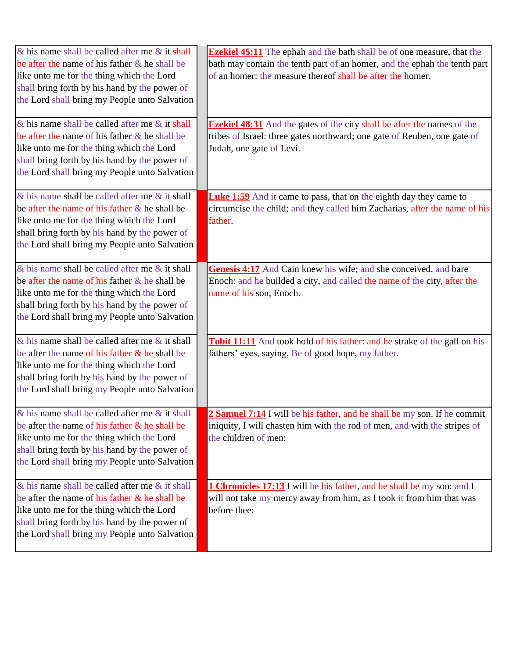| $\&$ his name shall be called after me $\&$ it shall<br>be after the name of his father & he shall be<br>like unto me for the thing which the Lord<br>shall bring forth by his hand by the power of<br>the Lord shall bring my People unto Salvation<br>$\&$ his name shall be called after me $\&$ it shall<br>be after the name of his father & he shall be<br>like unto me for the thing which the Lord | <b>Ezekiel 45:11</b> The ephah and the bath shall be of one measure, that the<br>bath may contain the tenth part of an homer, and the ephah the tenth part<br>of an homer: the measure thereof shall be after the homer.<br><b>Ezekiel 48:31</b> And the gates of the city shall be after the names of the<br>tribes of Israel: three gates northward; one gate of Reuben, one gate of<br>Judah, one gate of Levi. |
|------------------------------------------------------------------------------------------------------------------------------------------------------------------------------------------------------------------------------------------------------------------------------------------------------------------------------------------------------------------------------------------------------------|--------------------------------------------------------------------------------------------------------------------------------------------------------------------------------------------------------------------------------------------------------------------------------------------------------------------------------------------------------------------------------------------------------------------|
| shall bring forth by his hand by the power of<br>the Lord shall bring my People unto Salvation                                                                                                                                                                                                                                                                                                             |                                                                                                                                                                                                                                                                                                                                                                                                                    |
| & his name shall be called after me & it shall<br>be after the name of his father $\&$ he shall be<br>like unto me for the thing which the Lord<br>shall bring forth by his hand by the power of<br>the Lord shall bring my People unto Salvation                                                                                                                                                          | <b>Luke 1:59</b> And it came to pass, that on the eighth day they came to<br>circumcise the child; and they called him Zacharias, after the name of his<br>father.                                                                                                                                                                                                                                                 |
| $\&$ his name shall be called after me $\&$ it shall<br>be after the name of his father $\&$ he shall be<br>like unto me for the thing which the Lord<br>shall bring forth by his hand by the power of<br>the Lord shall bring my People unto Salvation                                                                                                                                                    | Genesis 4:17 And Cain knew his wife; and she conceived, and bare<br>Enoch: and he builded a city, and called the name of the city, after the<br>name of his son, Enoch.                                                                                                                                                                                                                                            |
| $\&$ his name shall be called after me $\&$ it shall<br>be after the name of his father & he shall be<br>like unto me for the thing which the Lord<br>shall bring forth by his hand by the power of<br>the Lord shall bring my People unto Salvation                                                                                                                                                       | Tobit 11:11 And took hold of his father: and he strake of the gall on his<br>fathers' eyes, saying, Be of good hope, my father.                                                                                                                                                                                                                                                                                    |
| & his name shall be called after me $\&$ it shall<br>be after the name of his father & he shall be<br>like unto me for the thing which the Lord<br>shall bring forth by his hand by the power of<br>the Lord shall bring my People unto Salvation                                                                                                                                                          | 2 Samuel 7:14 I will be his father, and he shall be my son. If he commit<br>iniquity, I will chasten him with the rod of men, and with the stripes of<br>the children of men:                                                                                                                                                                                                                                      |
| & his name shall be called after me & it shall<br>be after the name of his father $\&$ he shall be<br>like unto me for the thing which the Lord<br>shall bring forth by his hand by the power of<br>the Lord shall bring my People unto Salvation                                                                                                                                                          | 1 Chronicles 17:13 I will be his father, and he shall be my son: and I<br>will not take my mercy away from him, as I took it from him that was<br>before thee:                                                                                                                                                                                                                                                     |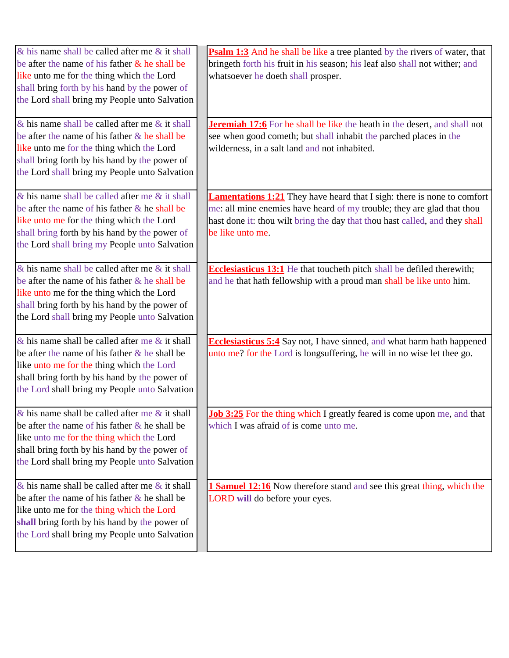| $\&$ his name shall be called after me $\&$ it shall<br>be after the name of his father $\&$ he shall be<br>like unto me for the thing which the Lord<br>shall bring forth by his hand by the power of<br>the Lord shall bring my People unto Salvation<br>$\&$ his name shall be called after me $\&$ it shall<br>be after the name of his father $\&$ he shall be<br>like unto me for the thing which the Lord<br>shall bring forth by his hand by the power of | Psalm 1:3 And he shall be like a tree planted by the rivers of water, that<br>bringeth forth his fruit in his season; his leaf also shall not wither; and<br>whatsoever he doeth shall prosper.<br><b>Jeremiah 17:6</b> For he shall be like the heath in the desert, and shall not<br>see when good cometh; but shall inhabit the parched places in the<br>wilderness, in a salt land and not inhabited. |
|-------------------------------------------------------------------------------------------------------------------------------------------------------------------------------------------------------------------------------------------------------------------------------------------------------------------------------------------------------------------------------------------------------------------------------------------------------------------|-----------------------------------------------------------------------------------------------------------------------------------------------------------------------------------------------------------------------------------------------------------------------------------------------------------------------------------------------------------------------------------------------------------|
| the Lord shall bring my People unto Salvation<br>$\&$ his name shall be called after me $\&$ it shall<br>be after the name of his father $\&$ he shall be<br>like unto me for the thing which the Lord<br>shall bring forth by his hand by the power of<br>the Lord shall bring my People unto Salvation                                                                                                                                                          | <b>Lamentations 1:21</b> They have heard that I sigh: there is none to comfort<br>me: all mine enemies have heard of my trouble; they are glad that thou<br>hast done it: thou wilt bring the day that thou hast called, and they shall<br>be like unto me.                                                                                                                                               |
| $\&$ his name shall be called after me $\&$ it shall<br>be after the name of his father $\&$ he shall be<br>like unto me for the thing which the Lord<br>shall bring forth by his hand by the power of<br>the Lord shall bring my People unto Salvation                                                                                                                                                                                                           | <b>Ecclesiasticus 13:1</b> He that toucheth pitch shall be defiled therewith;<br>and he that hath fellowship with a proud man shall be like unto him.                                                                                                                                                                                                                                                     |
| $\&$ his name shall be called after me $\&$ it shall<br>be after the name of his father $\&$ he shall be<br>like unto me for the thing which the Lord<br>shall bring forth by his hand by the power of<br>the Lord shall bring my People unto Salvation                                                                                                                                                                                                           | <b>Ecclesiasticus 5:4</b> Say not, I have sinned, and what harm hath happened<br>unto me? for the Lord is longsuffering, he will in no wise let thee go.                                                                                                                                                                                                                                                  |
| $\&$ his name shall be called after me $\&$ it shall<br>be after the name of his father $\&$ he shall be<br>like unto me for the thing which the Lord<br>shall bring forth by his hand by the power of<br>the Lord shall bring my People unto Salvation                                                                                                                                                                                                           | <b>Job 3:25</b> For the thing which I greatly feared is come upon me, and that<br>which I was afraid of is come unto me.                                                                                                                                                                                                                                                                                  |
| $\&$ his name shall be called after me $\&$ it shall<br>be after the name of his father $\&$ he shall be<br>like unto me for the thing which the Lord<br>shall bring forth by his hand by the power of<br>the Lord shall bring my People unto Salvation                                                                                                                                                                                                           | 1 Samuel 12:16 Now therefore stand and see this great thing, which the<br>LORD will do before your eyes.                                                                                                                                                                                                                                                                                                  |